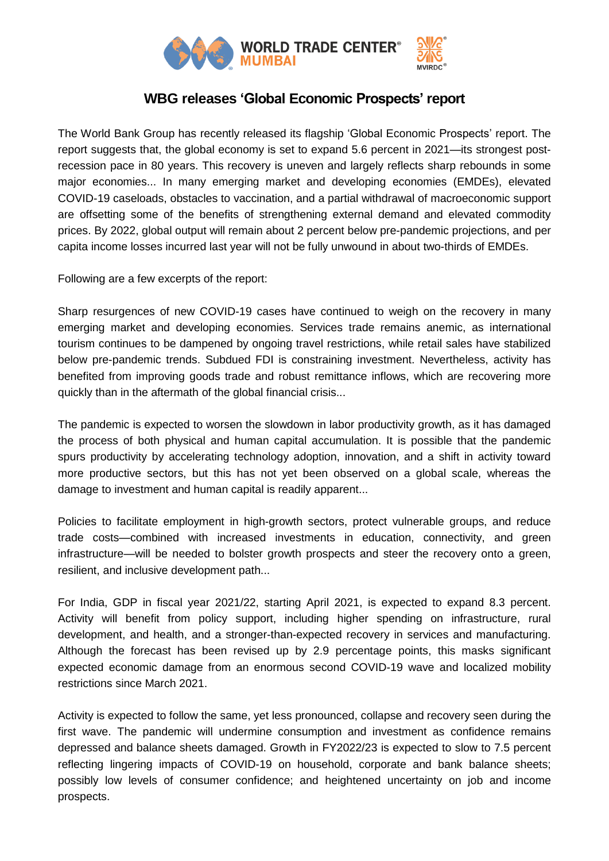

## **WBG releases 'Global Economic Prospects' report**

The World Bank Group has recently released its flagship 'Global Economic Prospects' report. The report suggests that, the global economy is set to expand 5.6 percent in 2021—its strongest postrecession pace in 80 years. This recovery is uneven and largely reflects sharp rebounds in some major economies... In many emerging market and developing economies (EMDEs), elevated COVID-19 caseloads, obstacles to vaccination, and a partial withdrawal of macroeconomic support are offsetting some of the benefits of strengthening external demand and elevated commodity prices. By 2022, global output will remain about 2 percent below pre-pandemic projections, and per capita income losses incurred last year will not be fully unwound in about two-thirds of EMDEs.

Following are a few excerpts of the report:

Sharp resurgences of new COVID-19 cases have continued to weigh on the recovery in many emerging market and developing economies. Services trade remains anemic, as international tourism continues to be dampened by ongoing travel restrictions, while retail sales have stabilized below pre-pandemic trends. Subdued FDI is constraining investment. Nevertheless, activity has benefited from improving goods trade and robust remittance inflows, which are recovering more quickly than in the aftermath of the global financial crisis...

The pandemic is expected to worsen the slowdown in labor productivity growth, as it has damaged the process of both physical and human capital accumulation. It is possible that the pandemic spurs productivity by accelerating technology adoption, innovation, and a shift in activity toward more productive sectors, but this has not yet been observed on a global scale, whereas the damage to investment and human capital is readily apparent...

Policies to facilitate employment in high-growth sectors, protect vulnerable groups, and reduce trade costs—combined with increased investments in education, connectivity, and green infrastructure—will be needed to bolster growth prospects and steer the recovery onto a green, resilient, and inclusive development path...

For India, GDP in fiscal year 2021/22, starting April 2021, is expected to expand 8.3 percent. Activity will benefit from policy support, including higher spending on infrastructure, rural development, and health, and a stronger-than-expected recovery in services and manufacturing. Although the forecast has been revised up by 2.9 percentage points, this masks significant expected economic damage from an enormous second COVID-19 wave and localized mobility restrictions since March 2021.

Activity is expected to follow the same, yet less pronounced, collapse and recovery seen during the first wave. The pandemic will undermine consumption and investment as confidence remains depressed and balance sheets damaged. Growth in FY2022/23 is expected to slow to 7.5 percent reflecting lingering impacts of COVID-19 on household, corporate and bank balance sheets; possibly low levels of consumer confidence; and heightened uncertainty on job and income prospects.